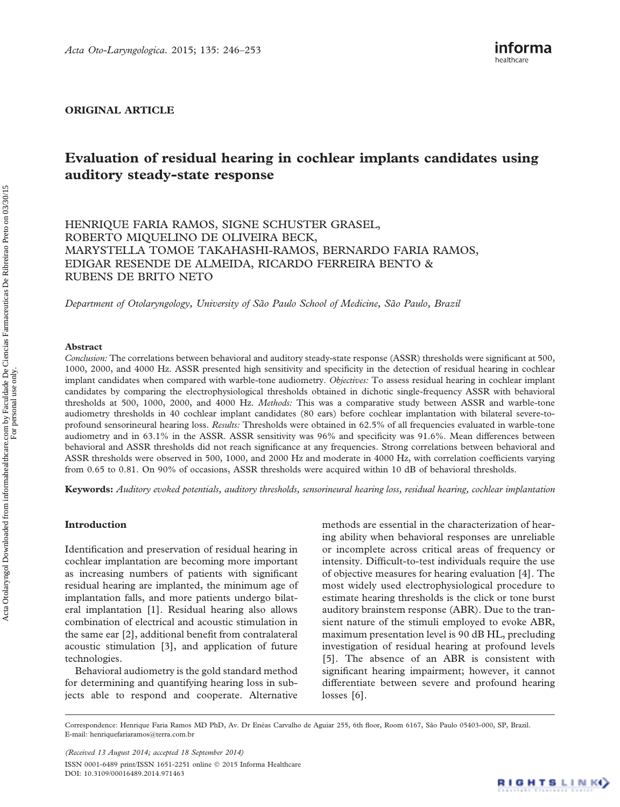ORIGINAL ARTICLE

# Evaluation of residual hearing in cochlear implants candidates using auditory steady-state response

HENRIQUE FARIA RAMOS, SIGNE SCHUSTER GRASEL, ROBERTO MIQUELINO DE OLIVEIRA BECK, MARYSTELLA TOMOE TAKAHASHI-RAMOS, BERNARDO FARIA RAMOS, EDIGAR RESENDE DE ALMEIDA, RICARDO FERREIRA BENTO & RUBENS DE BRITO NETO

Department of Otolaryngology, University of São Paulo School of Medicine, São Paulo, Brazil

## Abstract

Conclusion: The correlations between behavioral and auditory steady-state response (ASSR) thresholds were significant at 500, 1000, 2000, and 4000 Hz. ASSR presented high sensitivity and specificity in the detection of residual hearing in cochlear implant candidates when compared with warble-tone audiometry. Objectives: To assess residual hearing in cochlear implant candidates by comparing the electrophysiological thresholds obtained in dichotic single-frequency ASSR with behavioral thresholds at 500, 1000, 2000, and 4000 Hz. Methods: This was a comparative study between ASSR and warble-tone audiometry thresholds in 40 cochlear implant candidates (80 ears) before cochlear implantation with bilateral severe-toprofound sensorineural hearing loss. Results: Thresholds were obtained in 62.5% of all frequencies evaluated in warble-tone audiometry and in 63.1% in the ASSR. ASSR sensitivity was 96% and specificity was 91.6%. Mean differences between behavioral and ASSR thresholds did not reach significance at any frequencies. Strong correlations between behavioral and ASSR thresholds were observed in 500, 1000, and 2000 Hz and moderate in 4000 Hz, with correlation coefficients varying from 0.65 to 0.81. On 90% of occasions, ASSR thresholds were acquired within 10 dB of behavioral thresholds.

Keywords: Auditory evoked potentials, auditory thresholds, sensorineural hearing loss, residual hearing, cochlear implantation

## Introduction

Identification and preservation of residual hearing in cochlear implantation are becoming more important as increasing numbers of patients with significant residual hearing are implanted, the minimum age of implantation falls, and more patients undergo bilateral implantation [\[1\]](#page-6-0). Residual hearing also allows combination of electrical and acoustic stimulation in the same ear [\[2\]](#page-6-0), additional benefit from contralateral acoustic stimulation [[3](#page-6-0)], and application of future technologies.

Behavioral audiometry is the gold standard method for determining and quantifying hearing loss in subjects able to respond and cooperate. Alternative methods are essential in the characterization of hearing ability when behavioral responses are unreliable or incomplete across critical areas of frequency or intensity. Difficult-to-test individuals require the use of objective measures for hearing evaluation [\[4\]](#page-6-0). The most widely used electrophysiological procedure to estimate hearing thresholds is the click or tone burst auditory brainstem response (ABR). Due to the transient nature of the stimuli employed to evoke ABR, maximum presentation level is 90 dB HL, precluding investigation of residual hearing at profound levels [[5\]](#page-6-0). The absence of an ABR is consistent with significant hearing impairment; however, it cannot differentiate between severe and profound hearing losses [[6](#page-6-0)].

Correspondence: Henrique Faria Ramos MD PhD, Av. Dr Enéas Carvalho de Aguiar 255, 6th floor, Room 6167, São Paulo 05403-000, SP, Brazil. E-mail: [henriquefariaramos@terra.com.br](mailto:henriquefariaramos@terra.com.br)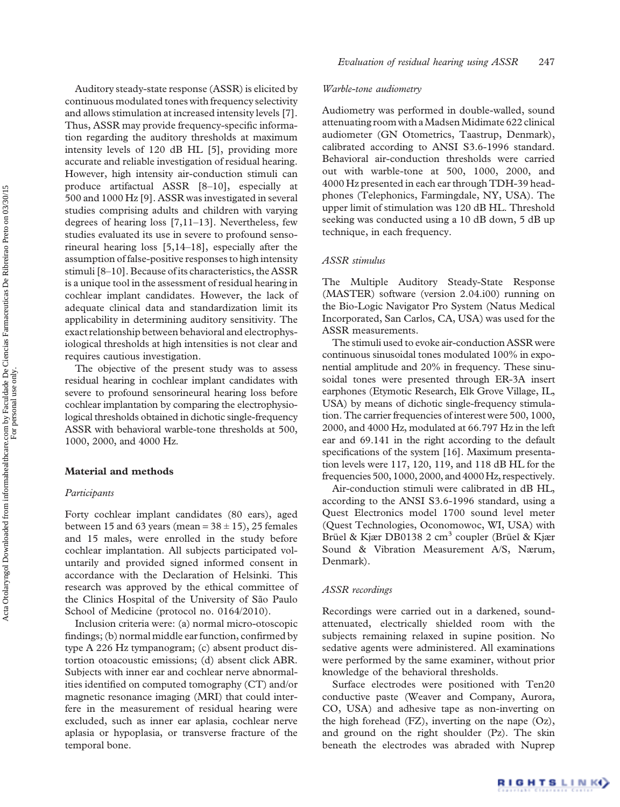Auditory steady-state response (ASSR) is elicited by continuous modulated tones with frequency selectivity and allows stimulation at increased intensity levels [[7](#page-7-0)]. Thus, ASSR may provide frequency-specific information regarding the auditory thresholds at maximum intensity levels of 120 dB HL [[5](#page-6-0)], providing more accurate and reliable investigation of residual hearing. However, high intensity air-conduction stimuli can produce artifactual ASSR [\[8](#page-7-0)–[10\]](#page-7-0), especially at 500 and 1000 Hz [\[9\]](#page-7-0). ASSR was investigated in several studies comprising adults and children with varying degrees of hearing loss [\[7,11](#page-7-0)–[13\]](#page-7-0). Nevertheless, few studies evaluated its use in severe to profound sensorineural hearing loss [\[5,](#page-6-0)[14](#page-7-0)–[18](#page-7-0)], especially after the assumption of false-positive responses to high intensity stimuli [[8](#page-7-0)–[10\]](#page-7-0). Because of its characteristics, the ASSR is a unique tool in the assessment of residual hearing in cochlear implant candidates. However, the lack of adequate clinical data and standardization limit its applicability in determining auditory sensitivity. The exact relationship between behavioral and electrophysiological thresholds at high intensities is not clear and requires cautious investigation.

The objective of the present study was to assess residual hearing in cochlear implant candidates with severe to profound sensorineural hearing loss before cochlear implantation by comparing the electrophysiological thresholds obtained in dichotic single-frequency ASSR with behavioral warble-tone thresholds at 500, 1000, 2000, and 4000 Hz.

#### Material and methods

## Participants

Forty cochlear implant candidates (80 ears), aged between 15 and 63 years (mean =  $38 \pm 15$ ), 25 females and 15 males, were enrolled in the study before cochlear implantation. All subjects participated voluntarily and provided signed informed consent in accordance with the Declaration of Helsinki. This research was approved by the ethical committee of the Clinics Hospital of the University of São Paulo School of Medicine (protocol no. 0164/2010).

Inclusion criteria were: (a) normal micro-otoscopic findings; (b) normal middle ear function, confirmed by type A 226 Hz tympanogram; (c) absent product distortion otoacoustic emissions; (d) absent click ABR. Subjects with inner ear and cochlear nerve abnormalities identified on computed tomography (CT) and/or magnetic resonance imaging (MRI) that could interfere in the measurement of residual hearing were excluded, such as inner ear aplasia, cochlear nerve aplasia or hypoplasia, or transverse fracture of the temporal bone.

## Warble-tone audiometry

Audiometry was performed in double-walled, sound attenuating room with aMadsenMidimate 622 clinical audiometer (GN Otometrics, Taastrup, Denmark), calibrated according to ANSI S3.6-1996 standard. Behavioral air-conduction thresholds were carried out with warble-tone at 500, 1000, 2000, and 4000 Hz presented in each ear through TDH-39 headphones (Telephonics, Farmingdale, NY, USA). The upper limit of stimulation was 120 dB HL. Threshold seeking was conducted using a 10 dB down, 5 dB up technique, in each frequency.

#### ASSR stimulus

The Multiple Auditory Steady-State Response (MASTER) software (version 2.04.i00) running on the Bio-Logic Navigator Pro System (Natus Medical Incorporated, San Carlos, CA, USA) was used for the ASSR measurements.

The stimuli used to evoke air-conduction ASSR were continuous sinusoidal tones modulated 100% in exponential amplitude and 20% in frequency. These sinusoidal tones were presented through ER-3A insert earphones (Etymotic Research, Elk Grove Village, IL, USA) by means of dichotic single-frequency stimulation. The carrier frequencies of interest were 500, 1000, 2000, and 4000 Hz, modulated at 66.797 Hz in the left ear and 69.141 in the right according to the default specifications of the system [[16](#page-7-0)]. Maximum presentation levels were 117, 120, 119, and 118 dB HL for the frequencies 500, 1000, 2000, and 4000 Hz, respectively.

Air-conduction stimuli were calibrated in dB HL, according to the ANSI S3.6-1996 standard, using a Quest Electronics model 1700 sound level meter (Quest Technologies, Oconomowoc, WI, USA) with Brüel & Kjær DB0138 2 cm<sup>3</sup> coupler (Brüel & Kjær Sound & Vibration Measurement A/S, Nærum, Denmark).

#### ASSR recordings

Recordings were carried out in a darkened, soundattenuated, electrically shielded room with the subjects remaining relaxed in supine position. No sedative agents were administered. All examinations were performed by the same examiner, without prior knowledge of the behavioral thresholds.

Surface electrodes were positioned with Ten20 conductive paste (Weaver and Company, Aurora, CO, USA) and adhesive tape as non-inverting on the high forehead (FZ), inverting on the nape (Oz), and ground on the right shoulder (Pz). The skin beneath the electrodes was abraded with Nuprep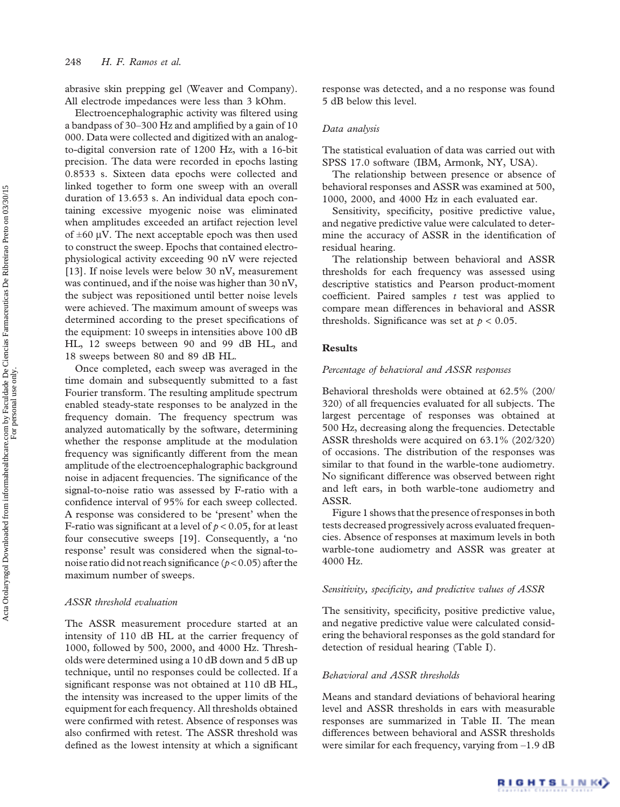abrasive skin prepping gel (Weaver and Company). All electrode impedances were less than 3 kOhm.

Electroencephalographic activity was filtered using a bandpass of 30–300 Hz and amplified by a gain of 10 000. Data were collected and digitized with an analogto-digital conversion rate of 1200 Hz, with a 16-bit precision. The data were recorded in epochs lasting 0.8533 s. Sixteen data epochs were collected and linked together to form one sweep with an overall duration of 13.653 s. An individual data epoch containing excessive myogenic noise was eliminated when amplitudes exceeded an artifact rejection level of  $\pm 60$  µV. The next acceptable epoch was then used to construct the sweep. Epochs that contained electrophysiological activity exceeding 90 nV were rejected [[13](#page-7-0)]. If noise levels were below 30 nV, measurement was continued, and if the noise was higher than 30 nV, the subject was repositioned until better noise levels were achieved. The maximum amount of sweeps was determined according to the preset specifications of the equipment: 10 sweeps in intensities above 100 dB HL, 12 sweeps between 90 and 99 dB HL, and 18 sweeps between 80 and 89 dB HL.

Once completed, each sweep was averaged in the time domain and subsequently submitted to a fast Fourier transform. The resulting amplitude spectrum enabled steady-state responses to be analyzed in the frequency domain. The frequency spectrum was analyzed automatically by the software, determining whether the response amplitude at the modulation frequency was significantly different from the mean amplitude of the electroencephalographic background noise in adjacent frequencies. The significance of the signal-to-noise ratio was assessed by F-ratio with a confidence interval of 95% for each sweep collected. A response was considered to be 'present' when the F-ratio was significant at a level of  $p < 0.05$ , for at least four consecutive sweeps [[19](#page-7-0)]. Consequently, a 'no response' result was considered when the signal-tonoise ratio did not reach significance ( $p < 0.05$ ) after the maximum number of sweeps.

## ASSR threshold evaluation

The ASSR measurement procedure started at an intensity of 110 dB HL at the carrier frequency of 1000, followed by 500, 2000, and 4000 Hz. Thresholds were determined using a 10 dB down and 5 dB up technique, until no responses could be collected. If a significant response was not obtained at 110 dB HL, the intensity was increased to the upper limits of the equipment for each frequency. All thresholds obtained were confirmed with retest. Absence of responses was also confirmed with retest. The ASSR threshold was defined as the lowest intensity at which a significant

response was detected, and a no response was found 5 dB below this level.

## Data analysis

The statistical evaluation of data was carried out with SPSS 17.0 software (IBM, Armonk, NY, USA).

The relationship between presence or absence of behavioral responses and ASSR was examined at 500, 1000, 2000, and 4000 Hz in each evaluated ear.

Sensitivity, specificity, positive predictive value, and negative predictive value were calculated to determine the accuracy of ASSR in the identification of residual hearing.

The relationship between behavioral and ASSR thresholds for each frequency was assessed using descriptive statistics and Pearson product-moment coefficient. Paired samples  $t$  test was applied to compare mean differences in behavioral and ASSR thresholds. Significance was set at  $p < 0.05$ .

#### Results

## Percentage of behavioral and ASSR responses

Behavioral thresholds were obtained at 62.5% (200/ 320) of all frequencies evaluated for all subjects. The largest percentage of responses was obtained at 500 Hz, decreasing along the frequencies. Detectable ASSR thresholds were acquired on 63.1% (202/320) of occasions. The distribution of the responses was similar to that found in the warble-tone audiometry. No significant difference was observed between right and left ears, in both warble-tone audiometry and ASSR.

[Figure 1](#page-3-0) shows that the presence of responses in both tests decreased progressively across evaluated frequencies. Absence of responses at maximum levels in both warble-tone audiometry and ASSR was greater at 4000 Hz.

## Sensitivity, specificity, and predictive values of ASSR

The sensitivity, specificity, positive predictive value, and negative predictive value were calculated considering the behavioral responses as the gold standard for detection of residual hearing ([Table I](#page-3-0)).

## Behavioral and ASSR thresholds

Means and standard deviations of behavioral hearing level and ASSR thresholds in ears with measurable responses are summarized in [Table II](#page-4-0). The mean differences between behavioral and ASSR thresholds were similar for each frequency, varying from –1.9 dB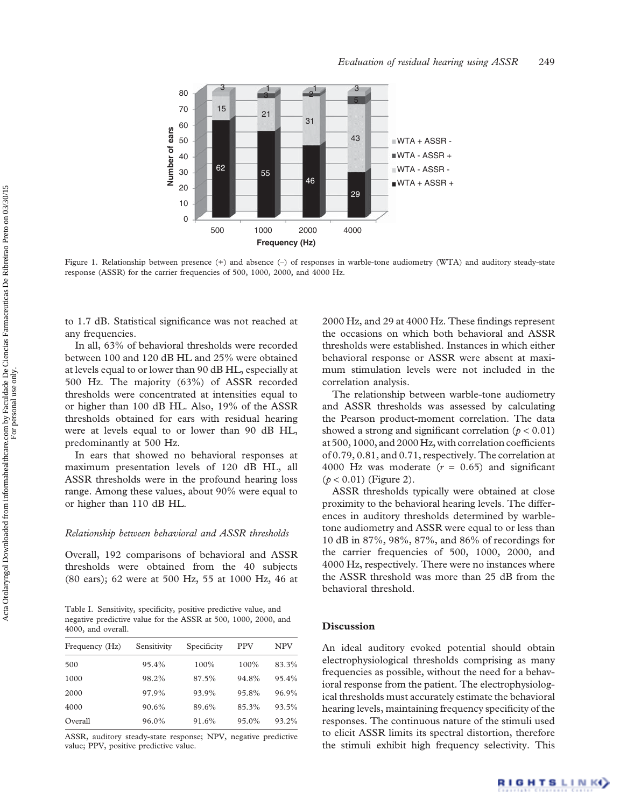<span id="page-3-0"></span>

Figure 1. Relationship between presence (+) and absence (-) of responses in warble-tone audiometry (WTA) and auditory steady-state response (ASSR) for the carrier frequencies of 500, 1000, 2000, and 4000 Hz.

to 1.7 dB. Statistical significance was not reached at any frequencies.

In all, 63% of behavioral thresholds were recorded between 100 and 120 dB HL and 25% were obtained at levels equal to or lower than 90 dB HL, especially at 500 Hz. The majority (63%) of ASSR recorded thresholds were concentrated at intensities equal to or higher than 100 dB HL. Also, 19% of the ASSR thresholds obtained for ears with residual hearing were at levels equal to or lower than 90 dB HL, predominantly at 500 Hz.

In ears that showed no behavioral responses at maximum presentation levels of 120 dB HL, all ASSR thresholds were in the profound hearing loss range. Among these values, about 90% were equal to or higher than 110 dB HL.

## Relationship between behavioral and ASSR thresholds

Overall, 192 comparisons of behavioral and ASSR thresholds were obtained from the 40 subjects (80 ears); 62 were at 500 Hz, 55 at 1000 Hz, 46 at

Table I. Sensitivity, specificity, positive predictive value, and negative predictive value for the ASSR at 500, 1000, 2000, and 4000, and overall.

| Frequency (Hz) | Sensitivity | Specificity | <b>PPV</b> | NPV   |
|----------------|-------------|-------------|------------|-------|
| 500            | 95.4%       | 100%        | 100%       | 83.3% |
| 1000           | 98.2%       | 87.5%       | 94.8%      | 95.4% |
| 2000           | 97.9%       | 93.9%       | 95.8%      | 96.9% |
| 4000           | 90.6%       | 89.6%       | 85.3%      | 93.5% |
| Overall        | 96.0%       | 91.6%       | 95.0%      | 93.2% |

ASSR, auditory steady-state response; NPV, negative predictive value; PPV, positive predictive value.

2000 Hz, and 29 at 4000 Hz. These findings represent the occasions on which both behavioral and ASSR thresholds were established. Instances in which either behavioral response or ASSR were absent at maximum stimulation levels were not included in the correlation analysis.

Evaluation of residual hearing using ASSR 249

The relationship between warble-tone audiometry and ASSR thresholds was assessed by calculating the Pearson product-moment correlation. The data showed a strong and significant correlation ( $p < 0.01$ ) at 500, 1000, and 2000 Hz, with correlation coefficients of 0.79, 0.81, and 0.71, respectively. The correlation at 4000 Hz was moderate  $(r = 0.65)$  and significant  $(p < 0.01)$  [\(Figure 2](#page-4-0)).

ASSR thresholds typically were obtained at close proximity to the behavioral hearing levels. The differences in auditory thresholds determined by warbletone audiometry and ASSR were equal to or less than 10 dB in 87%, 98%, 87%, and 86% of recordings for the carrier frequencies of 500, 1000, 2000, and 4000 Hz, respectively. There were no instances where the ASSR threshold was more than 25 dB from the behavioral threshold.

#### **Discussion**

An ideal auditory evoked potential should obtain electrophysiological thresholds comprising as many frequencies as possible, without the need for a behavioral response from the patient. The electrophysiological thresholds must accurately estimate the behavioral hearing levels, maintaining frequency specificity of the responses. The continuous nature of the stimuli used to elicit ASSR limits its spectral distortion, therefore the stimuli exhibit high frequency selectivity. This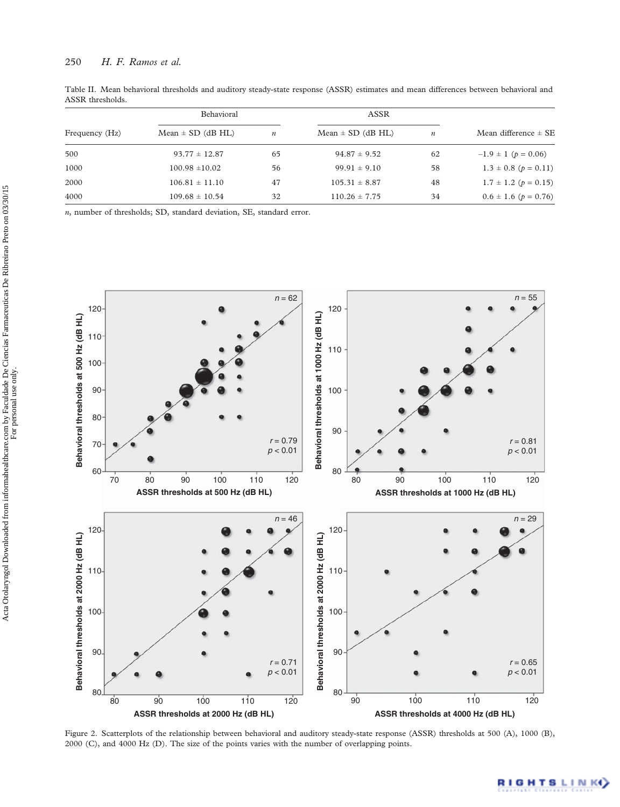<span id="page-4-0"></span>

| Table II. Mean behavioral thresholds and auditory steady-state response (ASSR) estimates and mean differences between behavioral and<br>ASSR thresholds. |      |  |
|----------------------------------------------------------------------------------------------------------------------------------------------------------|------|--|
| <b>Behavioral</b>                                                                                                                                        | ASSR |  |

|                | DUIIdVIUI dI          |                  | AOOIN                 |                  |                              |
|----------------|-----------------------|------------------|-----------------------|------------------|------------------------------|
| Frequency (Hz) | $Mean \pm SD$ (dB HL) | $\boldsymbol{n}$ | $Mean \pm SD$ (dB HL) | $\boldsymbol{n}$ | Mean difference $\pm$ SE     |
| 500            | $93.77 \pm 12.87$     | 65               | $94.87 \pm 9.52$      | 62               | $-1.9 \pm 1$ ( $p = 0.06$ )  |
| 1000           | $100.98 \pm 10.02$    | 56               | $99.91 \pm 9.10$      | 58               | $1.3 \pm 0.8$ ( $p = 0.11$ ) |
| 2000           | $106.81 \pm 11.10$    | 47               | $105.31 \pm 8.87$     | 48               | $1.7 \pm 1.2$ ( $p = 0.15$ ) |
| 4000           | $109.68 \pm 10.54$    | 32               | $110.26 \pm 7.75$     | 34               | $0.6 \pm 1.6$ ( $p = 0.76$ ) |
|                |                       |                  |                       |                  |                              |

n, number of thresholds; SD, standard deviation, SE, standard error.



Figure 2. Scatterplots of the relationship between behavioral and auditory steady-state response (ASSR) thresholds at 500 (A), 1000 (B), 2000 (C), and 4000 Hz (D). The size of the points varies with the number of overlapping points.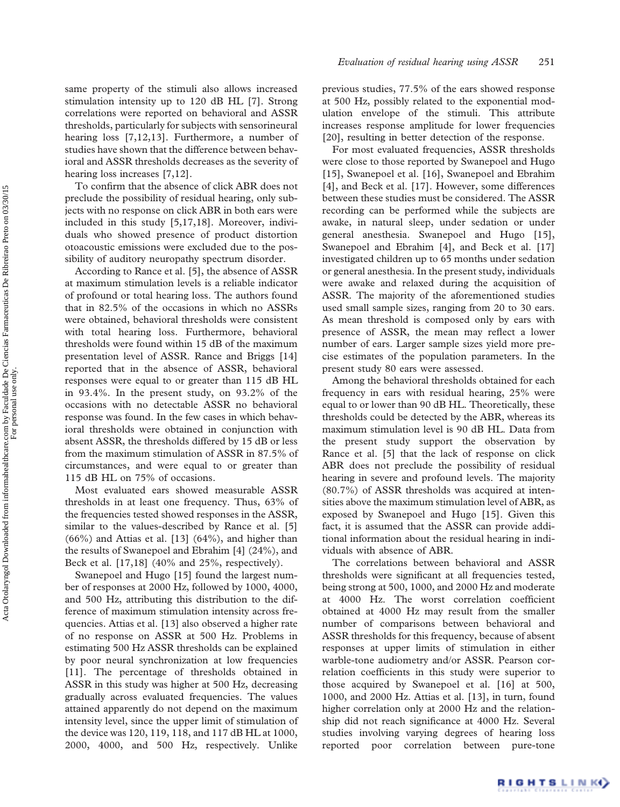same property of the stimuli also allows increased stimulation intensity up to 120 dB HL [\[7\]](#page-7-0). Strong correlations were reported on behavioral and ASSR thresholds, particularly for subjects with sensorineural hearing loss [\[7,12,13](#page-7-0)]. Furthermore, a number of studies have shown that the difference between behavioral and ASSR thresholds decreases as the severity of hearing loss increases [\[7,12](#page-7-0)].

To confirm that the absence of click ABR does not preclude the possibility of residual hearing, only subjects with no response on click ABR in both ears were included in this study [[5](#page-6-0)[,17,18\]](#page-7-0). Moreover, individuals who showed presence of product distortion otoacoustic emissions were excluded due to the possibility of auditory neuropathy spectrum disorder.

According to Rance et al. [[5\]](#page-6-0), the absence of ASSR at maximum stimulation levels is a reliable indicator of profound or total hearing loss. The authors found that in 82.5% of the occasions in which no ASSRs were obtained, behavioral thresholds were consistent with total hearing loss. Furthermore, behavioral thresholds were found within 15 dB of the maximum presentation level of ASSR. Rance and Briggs [\[14\]](#page-7-0) reported that in the absence of ASSR, behavioral responses were equal to or greater than 115 dB HL in 93.4%. In the present study, on 93.2% of the occasions with no detectable ASSR no behavioral response was found. In the few cases in which behavioral thresholds were obtained in conjunction with absent ASSR, the thresholds differed by 15 dB or less from the maximum stimulation of ASSR in 87.5% of circumstances, and were equal to or greater than 115 dB HL on 75% of occasions.

Most evaluated ears showed measurable ASSR thresholds in at least one frequency. Thus, 63% of the frequencies tested showed responses in the ASSR, similar to the values-described by Rance et al. [[5\]](#page-6-0) (66%) and Attias et al. [[13](#page-7-0)] (64%), and higher than the results of Swanepoel and Ebrahim [\[4\]](#page-6-0) (24%), and Beck et al. [\[17,18\]](#page-7-0) (40% and 25%, respectively).

Swanepoel and Hugo [\[15](#page-7-0)] found the largest number of responses at 2000 Hz, followed by 1000, 4000, and 500 Hz, attributing this distribution to the difference of maximum stimulation intensity across frequencies. Attias et al. [[13\]](#page-7-0) also observed a higher rate of no response on ASSR at 500 Hz. Problems in estimating 500 Hz ASSR thresholds can be explained by poor neural synchronization at low frequencies [[11](#page-7-0)]. The percentage of thresholds obtained in ASSR in this study was higher at 500 Hz, decreasing gradually across evaluated frequencies. The values attained apparently do not depend on the maximum intensity level, since the upper limit of stimulation of the device was 120, 119, 118, and 117 dB HL at 1000, 2000, 4000, and 500 Hz, respectively. Unlike

previous studies, 77.5% of the ears showed response at 500 Hz, possibly related to the exponential modulation envelope of the stimuli. This attribute increases response amplitude for lower frequencies [[20](#page-7-0)], resulting in better detection of the response.

For most evaluated frequencies, ASSR thresholds were close to those reported by Swanepoel and Hugo [[15](#page-7-0)], Swanepoel et al. [[16\]](#page-7-0), Swanepoel and Ebrahim [[4\]](#page-6-0), and Beck et al. [[17\]](#page-7-0). However, some differences between these studies must be considered. The ASSR recording can be performed while the subjects are awake, in natural sleep, under sedation or under general anesthesia. Swanepoel and Hugo [\[15\]](#page-7-0), Swanepoel and Ebrahim [\[4\]](#page-6-0), and Beck et al. [\[17\]](#page-7-0) investigated children up to 65 months under sedation or general anesthesia. In the present study, individuals were awake and relaxed during the acquisition of ASSR. The majority of the aforementioned studies used small sample sizes, ranging from 20 to 30 ears. As mean threshold is composed only by ears with presence of ASSR, the mean may reflect a lower number of ears. Larger sample sizes yield more precise estimates of the population parameters. In the present study 80 ears were assessed.

Among the behavioral thresholds obtained for each frequency in ears with residual hearing, 25% were equal to or lower than 90 dB HL. Theoretically, these thresholds could be detected by the ABR, whereas its maximum stimulation level is 90 dB HL. Data from the present study support the observation by Rance et al. [[5](#page-6-0)] that the lack of response on click ABR does not preclude the possibility of residual hearing in severe and profound levels. The majority (80.7%) of ASSR thresholds was acquired at intensities above the maximum stimulation level of ABR, as exposed by Swanepoel and Hugo [\[15\]](#page-7-0). Given this fact, it is assumed that the ASSR can provide additional information about the residual hearing in individuals with absence of ABR.

The correlations between behavioral and ASSR thresholds were significant at all frequencies tested, being strong at 500, 1000, and 2000 Hz and moderate at 4000 Hz. The worst correlation coefficient obtained at 4000 Hz may result from the smaller number of comparisons between behavioral and ASSR thresholds for this frequency, because of absent responses at upper limits of stimulation in either warble-tone audiometry and/or ASSR. Pearson correlation coefficients in this study were superior to those acquired by Swanepoel et al. [[16\]](#page-7-0) at 500, 1000, and 2000 Hz. Attias et al. [\[13](#page-7-0)], in turn, found higher correlation only at 2000 Hz and the relationship did not reach significance at 4000 Hz. Several studies involving varying degrees of hearing loss reported poor correlation between pure-tone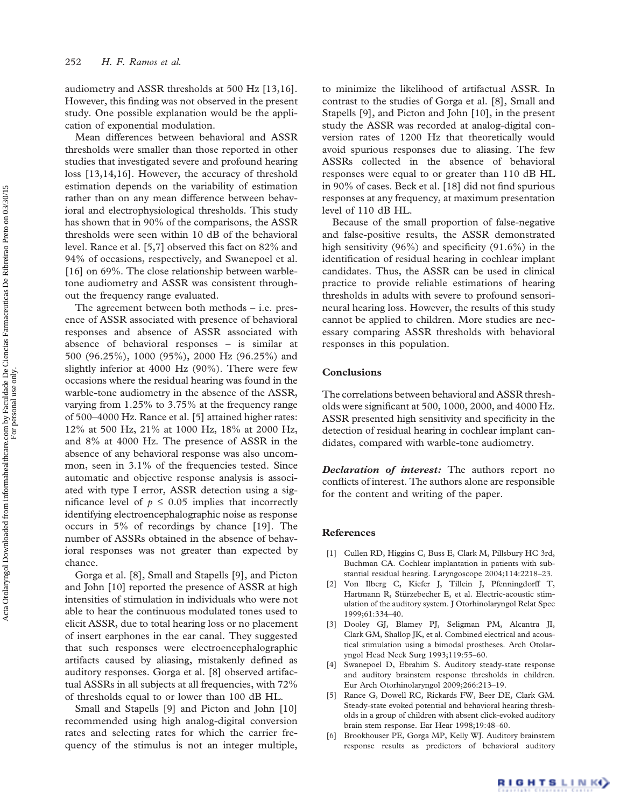<span id="page-6-0"></span>audiometry and ASSR thresholds at 500 Hz [\[13,16\]](#page-7-0). However, this finding was not observed in the present study. One possible explanation would be the application of exponential modulation.

Mean differences between behavioral and ASSR thresholds were smaller than those reported in other studies that investigated severe and profound hearing loss [\[13](#page-7-0),[14,16\]](#page-7-0). However, the accuracy of threshold estimation depends on the variability of estimation rather than on any mean difference between behavioral and electrophysiological thresholds. This study has shown that in 90% of the comparisons, the ASSR thresholds were seen within 10 dB of the behavioral level. Rance et al. [5,[7](#page-7-0)] observed this fact on 82% and 94% of occasions, respectively, and Swanepoel et al. [[16](#page-7-0)] on 69%. The close relationship between warbletone audiometry and ASSR was consistent throughout the frequency range evaluated.

The agreement between both methods – i.e. presence of ASSR associated with presence of behavioral responses and absence of ASSR associated with absence of behavioral responses – is similar at 500 (96.25%), 1000 (95%), 2000 Hz (96.25%) and slightly inferior at 4000 Hz (90%). There were few occasions where the residual hearing was found in the warble-tone audiometry in the absence of the ASSR, varying from 1.25% to 3.75% at the frequency range of 500–4000 Hz. Rance et al. [5] attained higher rates: 12% at 500 Hz, 21% at 1000 Hz, 18% at 2000 Hz, and 8% at 4000 Hz. The presence of ASSR in the absence of any behavioral response was also uncommon, seen in 3.1% of the frequencies tested. Since automatic and objective response analysis is associated with type I error, ASSR detection using a significance level of  $p \leq 0.05$  implies that incorrectly identifying electroencephalographic noise as response occurs in 5% of recordings by chance [[19\]](#page-7-0). The number of ASSRs obtained in the absence of behavioral responses was not greater than expected by chance.

Gorga et al. [[8](#page-7-0)], Small and Stapells [\[9\]](#page-7-0), and Picton and John [\[10](#page-7-0)] reported the presence of ASSR at high intensities of stimulation in individuals who were not able to hear the continuous modulated tones used to elicit ASSR, due to total hearing loss or no placement of insert earphones in the ear canal. They suggested that such responses were electroencephalographic artifacts caused by aliasing, mistakenly defined as auditory responses. Gorga et al. [[8](#page-7-0)] observed artifactual ASSRs in all subjects at all frequencies, with 72% of thresholds equal to or lower than 100 dB HL.

Small and Stapells [\[9\]](#page-7-0) and Picton and John [\[10\]](#page-7-0) recommended using high analog-digital conversion rates and selecting rates for which the carrier frequency of the stimulus is not an integer multiple, to minimize the likelihood of artifactual ASSR. In contrast to the studies of Gorga et al. [\[8\]](#page-7-0), Small and Stapells [[9](#page-7-0)], and Picton and John [[10](#page-7-0)], in the present study the ASSR was recorded at analog-digital conversion rates of 1200 Hz that theoretically would avoid spurious responses due to aliasing. The few ASSRs collected in the absence of behavioral responses were equal to or greater than 110 dB HL in 90% of cases. Beck et al. [[18\]](#page-7-0) did not find spurious responses at any frequency, at maximum presentation level of 110 dB HL.

Because of the small proportion of false-negative and false-positive results, the ASSR demonstrated high sensitivity (96%) and specificity (91.6%) in the identification of residual hearing in cochlear implant candidates. Thus, the ASSR can be used in clinical practice to provide reliable estimations of hearing thresholds in adults with severe to profound sensorineural hearing loss. However, the results of this study cannot be applied to children. More studies are necessary comparing ASSR thresholds with behavioral responses in this population.

## Conclusions

The correlations between behavioral and ASSR thresholds were significant at 500, 1000, 2000, and 4000 Hz. ASSR presented high sensitivity and specificity in the detection of residual hearing in cochlear implant candidates, compared with warble-tone audiometry.

**Declaration of interest:** The authors report no conflicts of interest. The authors alone are responsible for the content and writing of the paper.

## References

- [1] Cullen RD, Higgins C, Buss E, Clark M, Pillsbury HC 3rd, Buchman CA. [Cochlear implantation in patients with sub](http://www.ncbi.nlm.nih.gov/pubmed/15564849?dopt=Abstract)[stantial residual hearing.](http://www.ncbi.nlm.nih.gov/pubmed/15564849?dopt=Abstract) Laryngoscope 2004;114:2218–23.
- [2] Von Ilberg C, Kiefer J, Tillein J, Pfenningdorff T, Hartmann R, Stürzebecher E, et al. [Electric-acoustic stim](http://www.ncbi.nlm.nih.gov/pubmed/10545807?dopt=Abstract)[ulation of the auditory system](http://www.ncbi.nlm.nih.gov/pubmed/10545807?dopt=Abstract). J Otorhinolaryngol Relat Spec 1999;61:334–40.
- [3] Dooley GJ, Blamey PJ, Seligman PM, Alcantra JI, Clark GM, Shallop JK, et al. [Combined electrical and acous](http://www.ncbi.nlm.nih.gov/pubmed/8417744?dopt=Abstract)[tical stimulation using a bimodal prostheses](http://www.ncbi.nlm.nih.gov/pubmed/8417744?dopt=Abstract). Arch Otolaryngol Head Neck Surg 1993;119:55–60.
- [4] Swanepoel D, Ebrahim S. [Auditory steady-state response](http://www.ncbi.nlm.nih.gov/pubmed/18560866?dopt=Abstract) [and auditory brainstem response thresholds in children](http://www.ncbi.nlm.nih.gov/pubmed/18560866?dopt=Abstract). Eur Arch Otorhinolaryngol 2009;266:213–19.
- [5] Rance G, Dowell RC, Rickards FW, Beer DE, Clark GM. [Steady-state evoked potential and behavioral hearing thresh](http://www.ncbi.nlm.nih.gov/pubmed/9504272?dopt=Abstract)[olds in a group of children with absent click-evoked auditory](http://www.ncbi.nlm.nih.gov/pubmed/9504272?dopt=Abstract) [brain stem response.](http://www.ncbi.nlm.nih.gov/pubmed/9504272?dopt=Abstract) Ear Hear 1998;19:48–60.
- [6] Brookhouser PE, Gorga MP, Kelly WJ. [Auditory brainstem](http://www.ncbi.nlm.nih.gov/pubmed/2381254?dopt=Abstract) [response results as predictors of behavioral auditory](http://www.ncbi.nlm.nih.gov/pubmed/2381254?dopt=Abstract)

For personal use only.